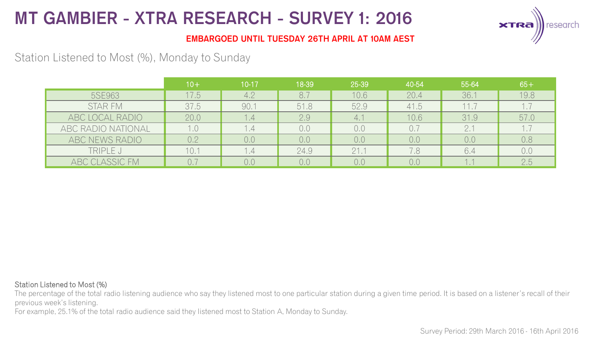

### **EMBARGOED UNTIL TUESDAY 26TH APRIL AT 10AM AEST**

## Station Listened to Most (%), Monday to Sunday

|                    | $10+$ | $10 - 17$         | 18-39 | 25-39 | 40-54 | 55-64 | $65+$ |
|--------------------|-------|-------------------|-------|-------|-------|-------|-------|
| 5SE963             | 17.5  | 4.2               | 8.7   | 10.6  | 20.4  | 36.1  | 19.8  |
| <b>STAR FM</b>     | 37.5  | 90.1              | 51.8  | 52.9  | 41.5  | 11.7  |       |
| ABC LOCAL RADIO    | 20.0  | $\cdot$ 4         | 2.9   | 4.1   | 10.6  | 31.9  | 57.0  |
| ABC RADIO NATIONAL |       | .4                | 0.0   | 0.0   | 0.7   |       | 1.,   |
| ABC NEWS RADIO     | 02    | 0,0               | 0.0   | 0.0   | 0,0   | 0,0   | 0.8   |
| TRIPLE J           | 10.1  | $\overline{1}$ .4 | 24.9  | 21.1  | 7.8   | 6.4   | 0,0   |
| ABC CLASSIC FM     |       | 0.0               | 0.0   | 0.0   | 0.0   |       | 2.5   |

#### Station Listened to Most (%)

The percentage of the total radio listening audience who say they listened most to one particular station during a given time period. It is based on a listener's recall of their previous week's listening.

For example, 25.1% of the total radio audience said they listened most to Station A, Monday to Sunday.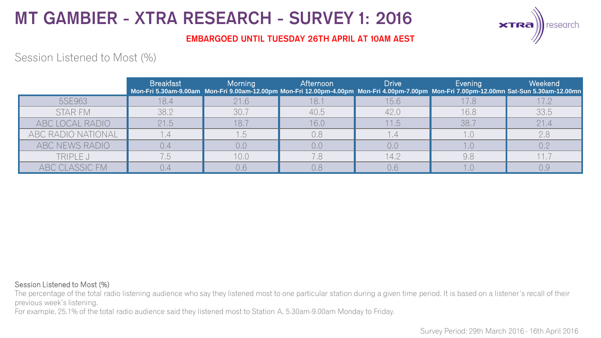

### **EMBARGOED UNTIL TUESDAY 26TH APRIL AT 10AM AEST**

## Session Listened to Most (%)

|                    | <b>Breakfast</b> | Morning | Afternoon | <b>Drive</b> | Evening | Weekend<br>Mon-Fri 5.30am-9.00am Mon-Fri 9.00am-12.00pm Mon-Fri 12.00pm-4.00pm Mon-Fri 4.00pm-7.00pm Mon-Fri 7.00pm-12.00mn Sat-Sun 5.30am-12.00mn |
|--------------------|------------------|---------|-----------|--------------|---------|----------------------------------------------------------------------------------------------------------------------------------------------------|
| 5SE963             | 18.4             | 21.6    | 18.1      | 15.6         | 17.8    | 17.2                                                                                                                                               |
| STAR FM            | 38.2             | 30.7    | 40.5      | 42.0         | 16.8    | 33.5                                                                                                                                               |
| ABC LOCAL RADIO    | 21.5             | 18.7    | 16.0      | 11.5         | 38.7    | 21.4                                                                                                                                               |
| ABC RADIO NATIONAL |                  |         | 0,8       |              |         | 2.8                                                                                                                                                |
| ABC NEWS RADIO     |                  | 0,0     | 0,0       | 0,0          |         | 0.2                                                                                                                                                |
| TRIPLE J           |                  | 10.0    | 7.8       | 14.2         | 9,8     |                                                                                                                                                    |
| ABC CLASSIC FM     |                  |         |           | 0.6          |         |                                                                                                                                                    |

#### Session Listened to Most (%)

The percentage of the total radio listening audience who say they listened most to one particular station during a given time period. It is based on a listener's recall of their previous week's listening.

For example, 25.1% of the total radio audience said they listened most to Station A, 5.30am-9.00am Monday to Friday.

Survey Period: 29th March 2016 - 16th April 2016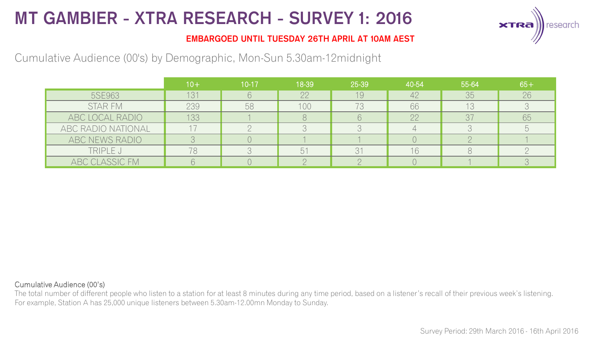

### **EMBARGOED UNTIL TUESDAY 26TH APRIL AT 10AM AEST**

## Cumulative Audience (00's) by Demographic, Mon-Sun 5.30am-12midnight

|                    | $10+$ | $10 - 17$ | 18-39 | 25-39 | 40-54 | 55-64 | $65+$ |
|--------------------|-------|-----------|-------|-------|-------|-------|-------|
| 5SE963             | 131   |           | 22    | 19    | 42    | 35    | 26    |
| STAR FM            | 239   | 58        | 100   | 73    | 66    | 13    |       |
| ABC LOCAL RADIO    | 133   |           |       |       | 22    | 37    | 65    |
| ABC RADIO NATIONAL |       |           |       |       |       |       |       |
| ABC NEWS RADIO     |       |           |       |       |       |       |       |
| TRIPLE J           |       |           | h.    |       | 16    |       |       |
| ABC CLASSIC FM     |       |           |       |       |       |       |       |

#### Cumulative Audience (00's)

The total number of different people who listen to a station for at least 8 minutes during any time period, based on a listener's recall of their previous week's listening. For example, Station A has 25,000 unique listeners between 5.30am-12.00mn Monday to Sunday.

Survey Period: 29th March 2016 - 16th April 2016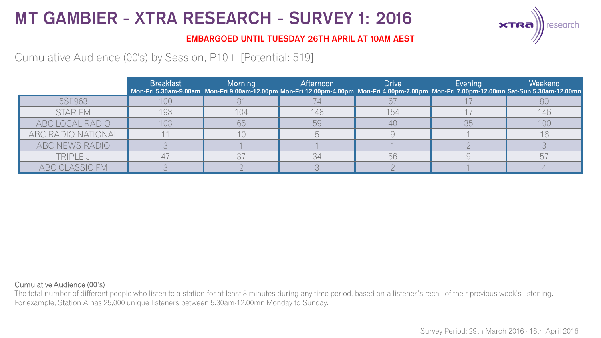

### **EMBARGOED UNTIL TUESDAY 26TH APRIL AT 10AM AEST**

Cumulative Audience (00's) by Session, P10+ [Potential: 519]

|                    | <b>Breakfast</b> | Morning | Afternoon | <b>Drive</b> | Evening | Weekend<br>Mon-Fri 5.30am-9.00am Mon-Fri 9.00am-12.00pm Mon-Fri 12.00pm-4.00pm Mon-Fri 4.00pm-7.00pm Mon-Fri 7.00pm-12.00mn Sat-Sun 5.30am-12.00mn |
|--------------------|------------------|---------|-----------|--------------|---------|----------------------------------------------------------------------------------------------------------------------------------------------------|
| 5SE963             | 100              |         |           |              |         |                                                                                                                                                    |
| STAR FM            | 193              | 104     | 148       | 154          |         | 146                                                                                                                                                |
| ABC LOCAL RADIO    | 103              | 65      | 59        | 4(           | 35      | 100                                                                                                                                                |
| ABC RADIO NATIONAL |                  |         |           |              |         |                                                                                                                                                    |
| ABC NEWS RADIO     |                  |         |           |              |         |                                                                                                                                                    |
| TRIPLE J           |                  | マフ      | 34        | 56           |         |                                                                                                                                                    |
| ABC CLASSIC FM     |                  |         |           |              |         |                                                                                                                                                    |

#### Cumulative Audience (00's)

The total number of different people who listen to a station for at least 8 minutes during any time period, based on a listener's recall of their previous week's listening. For example, Station A has 25,000 unique listeners between 5.30am-12.00mn Monday to Sunday.